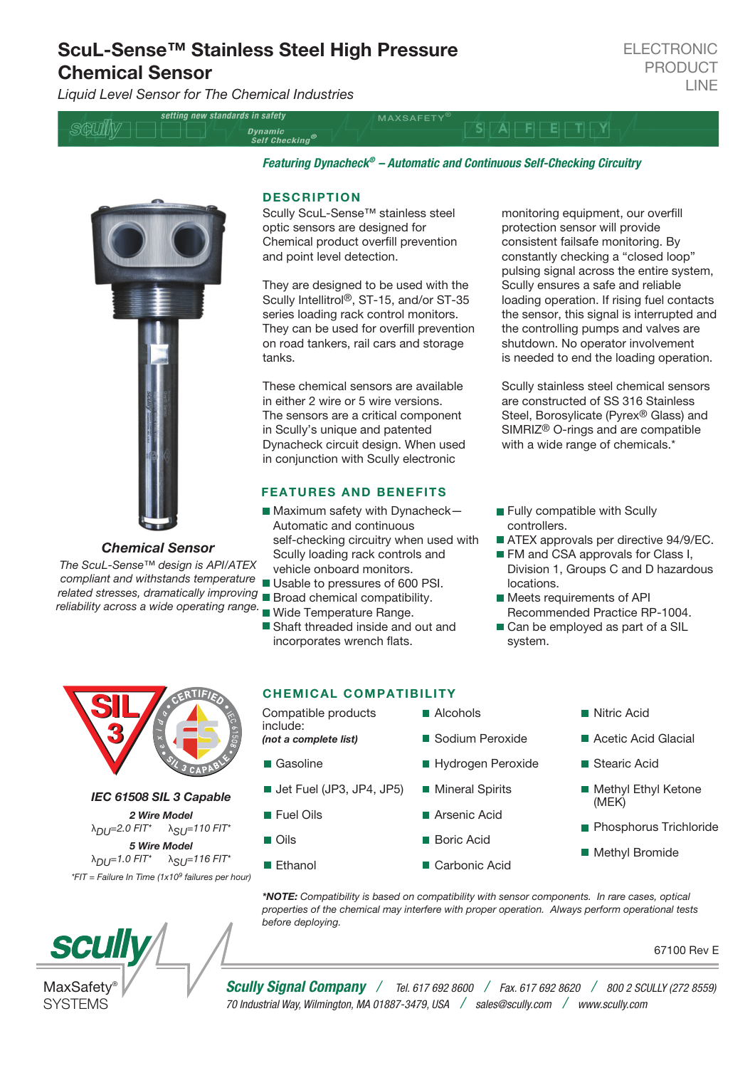# ScuL-Sense™ Stainless Steel High Pressure Chemical Sensor

*Liquid Level Sensor for The Chemical Industries*

setting new standards in safety **MAXSAFETY**  $\overline{A}$  FF Dynamic<br>Self Checking®

*Featuring Dynacheck® – Automatic and Continuous Self-Checking Circuitry* 

*Chemical Sensor*

*The ScuL-Sense™ design is API/ATEX compliant and withstands temperature related stresses, dramatically improving* Broad chemical compatibility. *reliability across a wide operating range.* Wide Temperature Range.

*IEC 61508 SIL 3 Capable 2 Wire Model* λ*DU=2.0 FIT\** λ*SU=110 FIT\* 5 Wire Model*  $λ_{DU}=1.0$  FIT<sup>\*</sup>  $λ_{SI}$ <sub>J</sub>=116 FIT<sup>\*</sup> *\*FIT = Failure In Time (1x109 failures per hour)*



CHEMICAL COMPATIBILITY

Compatible products include: *(not a complete list)* ■ Gasoline ■ Jet Fuel (JP3, JP4, JP5) **Fuel Oils**  Oils Alcohols Sodium Peroxide Hydrogen Peroxide **Mineral Spirits**  Arsenic Acid Boric Acid Nitric Acid Stearic Acid (MEK)

 *\*NOTE: Compatibility is based on compatibility with sensor components. In rare cases, optical properties of the chemical may interfere with proper operation. Always perform operational tests before deploying.*

67100 Rev E

**SCU** 

**SIL** 

SIL

3

3

# MaxSafety **SYSTEMS**

*Scully Signal Company / Tel. 617 692 8600 / Fax. 617 692 8620 / 800 2 SCULLY (272 8559) 70 Industrial Way, Wilmington, MA 01887-3479, USA / sales@scully.com / www.scully.com*

#### **DESCRIPTION**

Scully ScuL-Sense™ stainless steel optic sensors are designed for Chemical product overfill prevention and point level detection.

They are designed to be used with the Scully Intellitrol®, ST-15, and/or ST-35 series loading rack control monitors. They can be used for overfill prevention on road tankers, rail cars and storage tanks.

These chemical sensors are available in either 2 wire or 5 wire versions. The sensors are a critical component in Scully's unique and patented Dynacheck circuit design. When used in conjunction with Scully electronic

### FEATURES AND BENEFITS

- $M$  Maximum safety with Dynacheck-Automatic and continuous self-checking circuitry when used with Scully loading rack controls and vehicle onboard monitors.
- Usable to pressures of 600 PSI.
- 
- 
- Shaft threaded inside and out and incorporates wrench flats.

monitoring equipment, our overfill protection sensor will provide consistent failsafe monitoring. By constantly checking a "closed loop" pulsing signal across the entire system, Scully ensures a safe and reliable loading operation. If rising fuel contacts the sensor, this signal is interrupted and the controlling pumps and valves are shutdown. No operator involvement is needed to end the loading operation.

Scully stainless steel chemical sensors are constructed of SS 316 Stainless Steel, Borosylicate (Pyrex® Glass) and SIMRIZ® O-rings and are compatible with a wide range of chemicals.<sup>\*</sup>

- **Fully compatible with Scully** controllers.
- ATEX approvals per directive 94/9/EC.
- FM and CSA approvals for Class I, Division 1, Groups C and D hazardous locations.
- Meets requirements of API Recommended Practice RP-1004.
- Can be employed as part of a SIL system.

| Compatible products<br>include: | $\blacksquare$ Alcohols | <b>■ Nitric Acid</b>                       |  |
|---------------------------------|-------------------------|--------------------------------------------|--|
| (not a complete list)           | ■ Sodium Peroxide       | Acetic Acid Glacial                        |  |
| ■ Gasoline                      | ■ Hydrogen Peroxide     | ■ Stearic Acid                             |  |
| <b>Jet Fuel (JP3, JP4, JP5)</b> | <b>Mineral Spirits</b>  | ■ Methyl Ethyl Ketone<br>(MEK)             |  |
| <b>Fuel Oils</b>                | ■ Arsenic Acid          |                                            |  |
| $\blacksquare$ Oils             | ■ Boric Acid            | Phosphorus Trichloride<br>■ Methyl Bromide |  |
| ■ Ethanol                       | ■ Carbonic Acid         |                                            |  |
|                                 |                         |                                            |  |